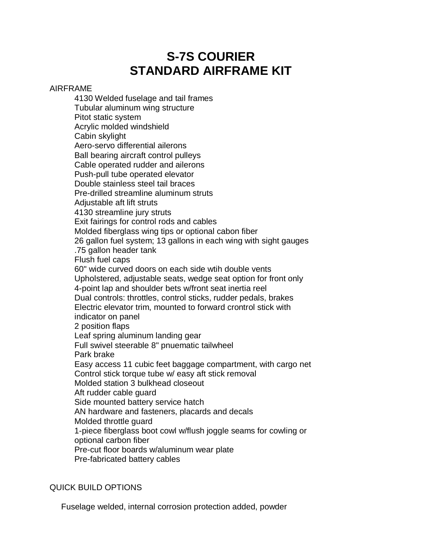# **S-7S COURIER STANDARD AIRFRAME KIT**

### AIRFRAME

4130 Welded fuselage and tail frames Tubular aluminum wing structure Pitot static system Acrylic molded windshield Cabin skylight Aero-servo differential ailerons Ball bearing aircraft control pulleys Cable operated rudder and ailerons Push-pull tube operated elevator Double stainless steel tail braces Pre-drilled streamline aluminum struts Adjustable aft lift struts 4130 streamline jury struts Exit fairings for control rods and cables Molded fiberglass wing tips or optional cabon fiber 26 gallon fuel system; 13 gallons in each wing with sight gauges .75 gallon header tank Flush fuel caps 60" wide curved doors on each side wtih double vents Upholstered, adjustable seats, wedge seat option for front only 4-point lap and shoulder bets w/front seat inertia reel Dual controls: throttles, control sticks, rudder pedals, brakes Electric elevator trim, mounted to forward crontrol stick with indicator on panel 2 position flaps Leaf spring aluminum landing gear Full swivel steerable 8" pnuematic tailwheel Park brake Easy access 11 cubic feet baggage compartment, with cargo net Control stick torque tube w/ easy aft stick removal Molded station 3 bulkhead closeout Aft rudder cable guard Side mounted battery service hatch AN hardware and fasteners, placards and decals Molded throttle guard 1-piece fiberglass boot cowl w/flush joggle seams for cowling or optional carbon fiber Pre-cut floor boards w/aluminum wear plate Pre-fabricated battery cables

## QUICK BUILD OPTIONS

Fuselage welded, internal corrosion protection added, powder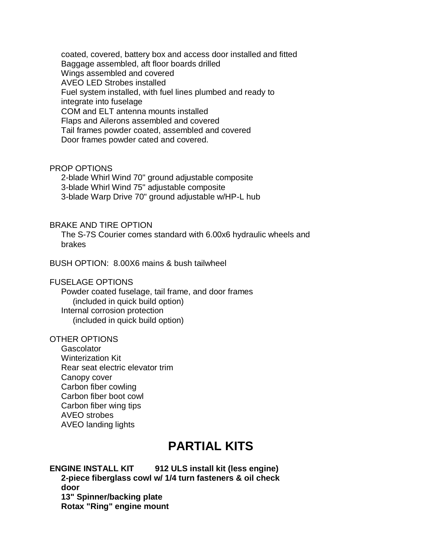coated, covered, battery box and access door installed and fitted Baggage assembled, aft floor boards drilled Wings assembled and covered AVEO LED Strobes installed Fuel system installed, with fuel lines plumbed and ready to integrate into fuselage COM and ELT antenna mounts installed Flaps and Ailerons assembled and covered Tail frames powder coated, assembled and covered Door frames powder cated and covered.

### PROP OPTIONS

 2-blade Whirl Wind 70" ground adjustable composite 3-blade Whirl Wind 75" adjustable composite 3-blade Warp Drive 70" ground adjustable w/HP-L hub

### BRAKE AND TIRE OPTION

 The S-7S Courier comes standard with 6.00x6 hydraulic wheels and brakes

BUSH OPTION: 8.00X6 mains & bush tailwheel

## FUSELAGE OPTIONS

 Powder coated fuselage, tail frame, and door frames (included in quick build option) Internal corrosion protection (included in quick build option)

### OTHER OPTIONS

**Gascolator**  Winterization Kit Rear seat electric elevator trim Canopy cover Carbon fiber cowling Carbon fiber boot cowl Carbon fiber wing tips AVEO strobes AVEO landing lights

## **PARTIAL KITS**

## **ENGINE INSTALL KIT 912 ULS install kit (less engine)**

 **2-piece fiberglass cowl w/ 1/4 turn fasteners & oil check door 13" Spinner/backing plate Rotax "Ring" engine mount**